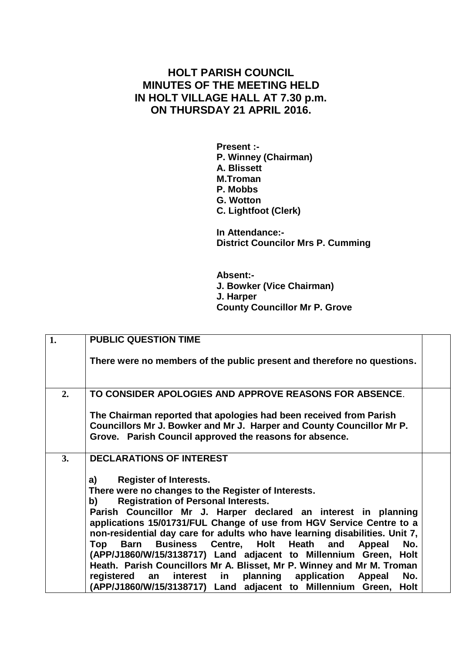## **HOLT PARISH COUNCIL MINUTES OF THE MEETING HELD IN HOLT VILLAGE HALL AT 7.30 p.m. ON THURSDAY 21 APRIL 2016.**

**Present :- P. Winney (Chairman) A. Blissett M.Troman P. Mobbs G. Wotton C. Lightfoot (Clerk)**

**In Attendance:- District Councilor Mrs P. Cumming**

**Absent:- J. Bowker (Vice Chairman) J. Harper County Councillor Mr P. Grove**

| 1. | <b>PUBLIC QUESTION TIME</b>                                                                                                                                                                                                                                                                                                                                                                                                                                                                                                                                                                                                                                                                                                             |
|----|-----------------------------------------------------------------------------------------------------------------------------------------------------------------------------------------------------------------------------------------------------------------------------------------------------------------------------------------------------------------------------------------------------------------------------------------------------------------------------------------------------------------------------------------------------------------------------------------------------------------------------------------------------------------------------------------------------------------------------------------|
|    | There were no members of the public present and therefore no questions.                                                                                                                                                                                                                                                                                                                                                                                                                                                                                                                                                                                                                                                                 |
| 2. | TO CONSIDER APOLOGIES AND APPROVE REASONS FOR ABSENCE.                                                                                                                                                                                                                                                                                                                                                                                                                                                                                                                                                                                                                                                                                  |
|    | The Chairman reported that apologies had been received from Parish<br>Councillors Mr J. Bowker and Mr J. Harper and County Councillor Mr P.<br>Grove. Parish Council approved the reasons for absence.                                                                                                                                                                                                                                                                                                                                                                                                                                                                                                                                  |
| 3. | <b>DECLARATIONS OF INTEREST</b>                                                                                                                                                                                                                                                                                                                                                                                                                                                                                                                                                                                                                                                                                                         |
|    | <b>Register of Interests.</b><br>a)<br>There were no changes to the Register of Interests.<br><b>Registration of Personal Interests.</b><br>b)<br>Parish Councillor Mr J. Harper declared an interest in planning<br>applications 15/01731/FUL Change of use from HGV Service Centre to a<br>non-residential day care for adults who have learning disabilities. Unit 7,<br>Top Barn Business Centre, Holt Heath<br>No.<br>and<br>Appeal<br>(APP/J1860/W/15/3138717) Land adjacent to Millennium Green, Holt<br>Heath. Parish Councillors Mr A. Blisset, Mr P. Winney and Mr M. Troman<br>interest in planning application Appeal<br>No.<br>registered an<br>(APP/J1860/W/15/3138717) Land adjacent to Millennium Green,<br><b>Holt</b> |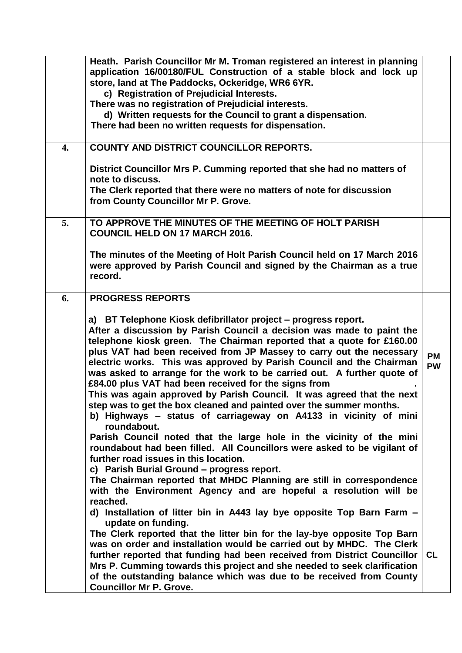|                  | Heath. Parish Councillor Mr M. Troman registered an interest in planning<br>application 16/00180/FUL Construction of a stable block and lock up<br>store, land at The Paddocks, Ockeridge, WR6 6YR.<br>c) Registration of Prejudicial Interests.                                                                                                                                                                                                                                                                                                                                                                                                                                                                                                                                                                                                                                                                                                                                                                                                                                                                                           |                        |
|------------------|--------------------------------------------------------------------------------------------------------------------------------------------------------------------------------------------------------------------------------------------------------------------------------------------------------------------------------------------------------------------------------------------------------------------------------------------------------------------------------------------------------------------------------------------------------------------------------------------------------------------------------------------------------------------------------------------------------------------------------------------------------------------------------------------------------------------------------------------------------------------------------------------------------------------------------------------------------------------------------------------------------------------------------------------------------------------------------------------------------------------------------------------|------------------------|
|                  | There was no registration of Prejudicial interests.                                                                                                                                                                                                                                                                                                                                                                                                                                                                                                                                                                                                                                                                                                                                                                                                                                                                                                                                                                                                                                                                                        |                        |
|                  | d) Written requests for the Council to grant a dispensation.                                                                                                                                                                                                                                                                                                                                                                                                                                                                                                                                                                                                                                                                                                                                                                                                                                                                                                                                                                                                                                                                               |                        |
|                  | There had been no written requests for dispensation.                                                                                                                                                                                                                                                                                                                                                                                                                                                                                                                                                                                                                                                                                                                                                                                                                                                                                                                                                                                                                                                                                       |                        |
| $\overline{4}$ . | <b>COUNTY AND DISTRICT COUNCILLOR REPORTS.</b>                                                                                                                                                                                                                                                                                                                                                                                                                                                                                                                                                                                                                                                                                                                                                                                                                                                                                                                                                                                                                                                                                             |                        |
|                  | District Councillor Mrs P. Cumming reported that she had no matters of<br>note to discuss.                                                                                                                                                                                                                                                                                                                                                                                                                                                                                                                                                                                                                                                                                                                                                                                                                                                                                                                                                                                                                                                 |                        |
|                  | The Clerk reported that there were no matters of note for discussion<br>from County Councillor Mr P. Grove.                                                                                                                                                                                                                                                                                                                                                                                                                                                                                                                                                                                                                                                                                                                                                                                                                                                                                                                                                                                                                                |                        |
| 5.               | TO APPROVE THE MINUTES OF THE MEETING OF HOLT PARISH<br><b>COUNCIL HELD ON 17 MARCH 2016.</b>                                                                                                                                                                                                                                                                                                                                                                                                                                                                                                                                                                                                                                                                                                                                                                                                                                                                                                                                                                                                                                              |                        |
|                  | The minutes of the Meeting of Holt Parish Council held on 17 March 2016<br>were approved by Parish Council and signed by the Chairman as a true<br>record.                                                                                                                                                                                                                                                                                                                                                                                                                                                                                                                                                                                                                                                                                                                                                                                                                                                                                                                                                                                 |                        |
| 6.               | <b>PROGRESS REPORTS</b>                                                                                                                                                                                                                                                                                                                                                                                                                                                                                                                                                                                                                                                                                                                                                                                                                                                                                                                                                                                                                                                                                                                    |                        |
|                  | a) BT Telephone Kiosk defibrillator project – progress report.<br>After a discussion by Parish Council a decision was made to paint the<br>telephone kiosk green. The Chairman reported that a quote for £160.00<br>plus VAT had been received from JP Massey to carry out the necessary<br>electric works. This was approved by Parish Council and the Chairman<br>was asked to arrange for the work to be carried out. A further quote of<br>£84.00 plus VAT had been received for the signs from<br>This was again approved by Parish Council. It was agreed that the next<br>step was to get the box cleaned and painted over the summer months.<br>b) Highways - status of carriageway on A4133 in vicinity of mini<br>roundabout.<br>Parish Council noted that the large hole in the vicinity of the mini<br>roundabout had been filled. All Councillors were asked to be vigilant of<br>further road issues in this location.<br>c) Parish Burial Ground - progress report.<br>The Chairman reported that MHDC Planning are still in correspondence<br>with the Environment Agency and are hopeful a resolution will be<br>reached. | <b>PM</b><br><b>PW</b> |
|                  | d) Installation of litter bin in A443 lay bye opposite Top Barn Farm -<br>update on funding.<br>The Clerk reported that the litter bin for the lay-bye opposite Top Barn<br>was on order and installation would be carried out by MHDC. The Clerk<br>further reported that funding had been received from District Councillor<br>Mrs P. Cumming towards this project and she needed to seek clarification<br>of the outstanding balance which was due to be received from County<br><b>Councillor Mr P. Grove.</b>                                                                                                                                                                                                                                                                                                                                                                                                                                                                                                                                                                                                                         | <b>CL</b>              |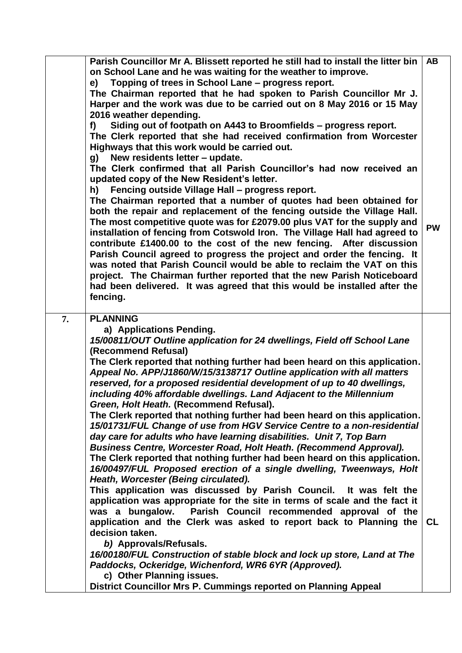|    | Parish Councillor Mr A. Blissett reported he still had to install the litter bin<br>on School Lane and he was waiting for the weather to improve.                                                                                                                                                                                                                               | AB        |
|----|---------------------------------------------------------------------------------------------------------------------------------------------------------------------------------------------------------------------------------------------------------------------------------------------------------------------------------------------------------------------------------|-----------|
|    | Topping of trees in School Lane - progress report.<br>e)<br>The Chairman reported that he had spoken to Parish Councillor Mr J.                                                                                                                                                                                                                                                 |           |
|    | Harper and the work was due to be carried out on 8 May 2016 or 15 May<br>2016 weather depending.                                                                                                                                                                                                                                                                                |           |
|    | Siding out of footpath on A443 to Broomfields - progress report.<br>f)<br>The Clerk reported that she had received confirmation from Worcester<br>Highways that this work would be carried out.                                                                                                                                                                                 |           |
|    | New residents letter - update.<br>g)<br>The Clerk confirmed that all Parish Councillor's had now received an<br>updated copy of the New Resident's letter.                                                                                                                                                                                                                      |           |
|    | Fencing outside Village Hall - progress report.<br>h)<br>The Chairman reported that a number of quotes had been obtained for<br>both the repair and replacement of the fencing outside the Village Hall.<br>The most competitive quote was for £2079.00 plus VAT for the supply and<br>installation of fencing from Cotswold Iron. The Village Hall had agreed to               | <b>PW</b> |
|    | contribute £1400.00 to the cost of the new fencing. After discussion<br>Parish Council agreed to progress the project and order the fencing. It<br>was noted that Parish Council would be able to reclaim the VAT on this<br>project. The Chairman further reported that the new Parish Noticeboard<br>had been delivered. It was agreed that this would be installed after the |           |
|    | fencing.                                                                                                                                                                                                                                                                                                                                                                        |           |
| 7. | <b>PLANNING</b>                                                                                                                                                                                                                                                                                                                                                                 |           |
|    | a) Applications Pending.<br>15/00811/OUT Outline application for 24 dwellings, Field off School Lane                                                                                                                                                                                                                                                                            |           |
|    | (Recommend Refusal)                                                                                                                                                                                                                                                                                                                                                             |           |
|    | The Clerk reported that nothing further had been heard on this application.                                                                                                                                                                                                                                                                                                     |           |
|    | Appeal No. APP/J1860/W/15/3138717 Outline application with all matters<br>reserved, for a proposed residential development of up to 40 dwellings,                                                                                                                                                                                                                               |           |
|    | including 40% affordable dwellings. Land Adjacent to the Millennium<br>Green, Holt Heath. (Recommend Refusal).                                                                                                                                                                                                                                                                  |           |
|    | The Clerk reported that nothing further had been heard on this application.<br>15/01731/FUL Change of use from HGV Service Centre to a non-residential<br>day care for adults who have learning disabilities. Unit 7, Top Barn                                                                                                                                                  |           |
|    | Business Centre, Worcester Road, Holt Heath. (Recommend Approval).<br>The Clerk reported that nothing further had been heard on this application.                                                                                                                                                                                                                               |           |
|    | 16/00497/FUL Proposed erection of a single dwelling, Tweenways, Holt<br>Heath, Worcester (Being circulated).                                                                                                                                                                                                                                                                    |           |
|    | This application was discussed by Parish Council. It was felt the<br>application was appropriate for the site in terms of scale and the fact it                                                                                                                                                                                                                                 |           |
|    | Parish Council recommended approval of the<br>was a bungalow.                                                                                                                                                                                                                                                                                                                   |           |
|    | application and the Clerk was asked to report back to Planning the                                                                                                                                                                                                                                                                                                              | <b>CL</b> |
|    | decision taken.                                                                                                                                                                                                                                                                                                                                                                 |           |
|    | b) Approvals/Refusals.<br>16/00180/FUL Construction of stable block and lock up store, Land at The                                                                                                                                                                                                                                                                              |           |
|    | Paddocks, Ockeridge, Wichenford, WR6 6YR (Approved).<br>c) Other Planning issues.                                                                                                                                                                                                                                                                                               |           |
|    | District Councillor Mrs P. Cummings reported on Planning Appeal                                                                                                                                                                                                                                                                                                                 |           |
|    |                                                                                                                                                                                                                                                                                                                                                                                 |           |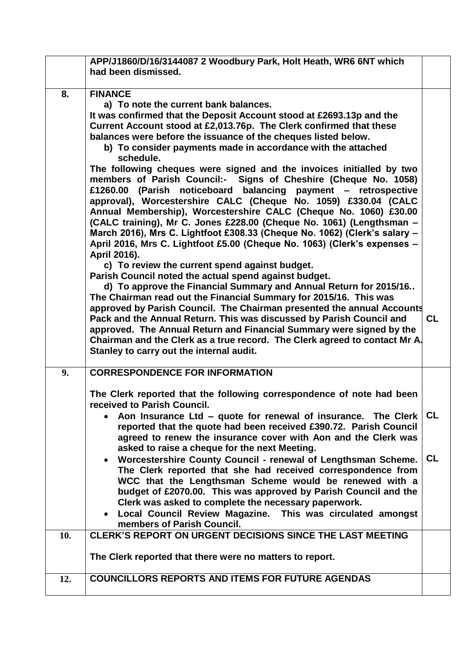| APP/J1860/D/16/3144087 2 Woodbury Park, Holt Heath, WR6 6NT which<br>had been dismissed.                                               |           |
|----------------------------------------------------------------------------------------------------------------------------------------|-----------|
|                                                                                                                                        |           |
| 8.<br><b>FINANCE</b><br>a) To note the current bank balances.                                                                          |           |
| It was confirmed that the Deposit Account stood at £2693.13p and the                                                                   |           |
| Current Account stood at £2,013.76p. The Clerk confirmed that these                                                                    |           |
| balances were before the issuance of the cheques listed below.                                                                         |           |
| b) To consider payments made in accordance with the attached<br>schedule.                                                              |           |
| The following cheques were signed and the invoices initialled by two                                                                   |           |
| members of Parish Council:- Signs of Cheshire (Cheque No. 1058)<br>£1260.00 (Parish noticeboard balancing payment – retrospective      |           |
| approval), Worcestershire CALC (Cheque No. 1059) £330.04 (CALC                                                                         |           |
| Annual Membership), Worcestershire CALC (Cheque No. 1060) £30.00                                                                       |           |
| (CALC training), Mr C. Jones £228.00 (Cheque No. 1061) (Lengthsman -                                                                   |           |
| March 2016), Mrs C. Lightfoot £308.33 (Cheque No. 1062) (Clerk's salary -                                                              |           |
| April 2016, Mrs C. Lightfoot £5.00 (Cheque No. 1063) (Clerk's expenses -<br>April 2016).                                               |           |
| c) To review the current spend against budget.                                                                                         |           |
| Parish Council noted the actual spend against budget.                                                                                  |           |
| d) To approve the Financial Summary and Annual Return for 2015/16<br>The Chairman read out the Financial Summary for 2015/16. This was |           |
| approved by Parish Council. The Chairman presented the annual Accounts                                                                 |           |
| Pack and the Annual Return. This was discussed by Parish Council and                                                                   | <b>CL</b> |
| approved. The Annual Return and Financial Summary were signed by the                                                                   |           |
| Chairman and the Clerk as a true record. The Clerk agreed to contact Mr A.<br>Stanley to carry out the internal audit.                 |           |
|                                                                                                                                        |           |
| <b>CORRESPONDENCE FOR INFORMATION</b><br>9.                                                                                            |           |
| The Clerk reported that the following correspondence of note had been                                                                  |           |
| received to Parish Council.<br>Aon Insurance Ltd – quote for renewal of insurance. The Clerk                                           | <b>CL</b> |
| reported that the quote had been received £390.72. Parish Council                                                                      |           |
| agreed to renew the insurance cover with Aon and the Clerk was                                                                         |           |
| asked to raise a cheque for the next Meeting.                                                                                          |           |
| • Worcestershire County Council - renewal of Lengthsman Scheme.                                                                        | <b>CL</b> |
| The Clerk reported that she had received correspondence from                                                                           |           |
| WCC that the Lengthsman Scheme would be renewed with a<br>budget of £2070.00. This was approved by Parish Council and the              |           |
| Clerk was asked to complete the necessary paperwork.                                                                                   |           |
| Local Council Review Magazine. This was circulated amongst                                                                             |           |
| members of Parish Council.                                                                                                             |           |
| <b>CLERK'S REPORT ON URGENT DECISIONS SINCE THE LAST MEETING</b><br>10.                                                                |           |
| The Clerk reported that there were no matters to report.                                                                               |           |
|                                                                                                                                        |           |